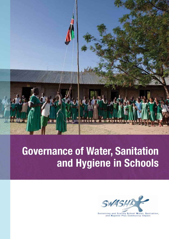

# **Governance of Water, Sanitation and Hygiene in Schools**



Sustaining and Scaling School Water, Sanitation,<br>and Hygiene Plus Community Impact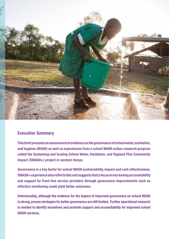

# **Executive Summary**

**This brief presents an assessment of evidence on the governance of school water, sanitation, and hygiene (WASH) as well as experiences from a school WASH action-research program called the Sustaining and Scaling School Water, Sanitation, and Hygiene Plus Community Impact (SWASH+) project in western Kenya.**

**Governance is a key factor for school WASH sustainability, impact and cost-effectiveness. SWASH+ experience also reflects this and suggests that a focus on increasing accountability and support for front-line service providers through governance improvements such as effective monitoring could yield better outcomes.**

**Unfortunately, although the evidence for the impact of improved governance on school WASH is strong, proven strategies for better governance are still limited. Further operational research is needed to identify incentives and promote support and accountability for improved school WASH services.**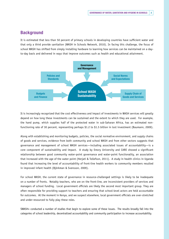## **Background**

It is estimated that less than 50 percent of primary schools in developing countries have sufficient water and that only a third provide sanitation (WASH in Schools Network, 2010). In facing this challenge, the focus of school WASH has shifted from simply installing hardware to learning how services can be maintained on a dayto-day basis and delivered in ways that improve outcomes such as health and educational attainment.



It is increasingly recognized that the cost effectiveness and impact of investments in WASH services will greatly depend on how long these investments can be sustained and the extent to which they are used. For example, the hand pump, which supplies half of the protected water in sub-Saharan Africa, has an estimated nonfunctioning rate of 30 percent, representing perhaps \$1.2 to \$1.5 billion in lost investment (Baumann, 2009).

Along with establishing and monitoring budgets, policies, the social normative environment, and supply chains of goods and services, evidence from both community and school WASH and from other sectors suggests that governance and management of school WASH services—including associated issues of accountability—is a core component of sustainability and impact. A study by Emory University and CARE showed a significant relationship between good community water-point governance and water-point functionality, an association that increased with the age of the water point (Herjati & Tollefson, 2011). A study in health clinics in Uganda found that increasing the level of accountability of front-line health workers to community members resulted in improved infant health (Björkman & Svensson, 2009).

For school WASH, the current state of governance in resource-challenged settings is likely to be inadequate on a number of fronts. Notably teachers, who are on the front-line, are inconsistent providers of services and managers of school funding. Local government officials are likely the second most important group. They are often responsible for providing support to teachers and ensuring that school-level actors are held accountable for outcomes. At the moment in Kenya, and we suspect elsewhere, local government officials are over-stretched and under-resourced to fully play these roles.

SWASH+ conducted a number of studies that begin to explore some of these issues. The results broadly fall into the categories of school leadership, decentralized accountability and community participation to increase accountability.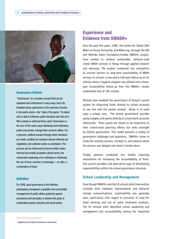

#### **Governance Defined**

"Governance" is a complex concept that can be explained and understood in many ways, but in its broadest sense, governance is the exercise of power in the public arena—the "rules of the game." It's about who is able to influence public decisions and who isn't. Who creates or enforces these rules? Governance is the sum of the many ways individuals and institutions, public and private, manage their common affairs. It is a dynamic, political process through which decisions are made, conflicts are resolved, diverse interests are negotiated, and collective action is undertaken. The process can be influenced by formal written codes, informal but broadly accepted cultural norms, the charismatic leadership of an individual or individuals, the use of force, coercion or patronage —or, often, a combination of these.<sup>1</sup>

#### **Definition**

For CARE, good governance is the effective, participatory, transparent, equitable and accountable management of public affairs guided by agreed procedures and principles, to achieve the goals of sustainable poverty reduction and social justice.

# **Experience and Evidence from SWASH+**

Over the past five years, CARE, the Center for Global Safe Water at Emory University, and Water.org, through the Bill and Melinda Gates Foundation-funded SWASH+ project, have worked to achieve sustainable, national-scale school WASH services in Kenya through applied research and advocacy. The project conducted two evaluations to uncover barriers to long-term sustainability of WASH services in schools: a two-and-a-half-year follow-up on 55 schools where a hygiene program was piloted and a threeyear sustainability follow-up from the SWASH+ cluster randomized trial of 185 schools.

Partners also modeled the government of Kenya's current system for disbursing funds directly to school accounts to see how well the system worked. Kenya is in some ways a unique case. The central government provides yearly budgets and grants directly to school bank accounts nationwide. These grants are meant to be responsive to their school-level planning efforts but with oversight by district government. This model presents a variety of governance challenges and questions. SWASH+ chose to study the existing process, recreate it, and observe where the process was delayed and where it broke down.

Finally, partners conducted two studies exploring mechanisms for increasing the accountability of frontline service providers and alternative ways of distributing responsibilities within the school governance structure.

## **School Leadership and Management**

Even though SWASH+ and the 55 schools pilot intervention included both hardware improvements and behavior change communications, sustainability was generally poor, particularly with regard to provision of soap for hand washing and use of water treatment products. The 55 schools pilot identified school leadership and management and accountability among the important

**————————————————**

<sup>&</sup>lt;sup>1</sup> Adapted from the Global Commission on Governance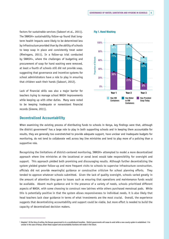factors for sustainable services (Saboori et al., 2011). The SWASH+ sustainability follow-up found that longterm health impacts were likely to be determined less by infrastructure provided than by the ability of schools to keep soap in place and consistently treat water (Rheingans, 2011). In a follow-up trial conducted by SWASH+, where the challenges of budgeting and procurement of soap for hand washing were removed, at least a fourth of schools still did not provide soap, suggesting that governance and incentive systems for school administrators have a role to play in ensuring that children wash their hands (Saboori, 2012).

Lack of financial skills was also a major barrier for teachers trying to manage school WASH improvements while keeping up with other duties. Many were noted to be keeping inadequate or nonexistent financial records (Greene, 2011).

#### **Fig 1. Hand Washing**



## **Decentralized Accountability**

**————————————————**

When examining the existing process of distributing funds to schools in Kenya, key findings were that, although the district government<sup>2</sup> has a large role to play in both supporting schools and in keeping them accountable for results, they are generally too overstretched to provide adequate support, have unclear and inadequate budgets for monitoring, do not tend to collaborate well across key line ministries and tend to play more of a policing than a supportive role.

Recognizing the limitations of district-centered monitoring, SWASH+ attempted to model a more decentralized approach where line ministries at the locational or zonal level would take responsibility for oversight and support. This approach yielded both promising and discouraging results. Although further decentralizing the system yielded greater follow-up and more frequent visits to schools to supervise infrastructure construction, officials did not provide meaningful guidance or constructive criticism for school planning efforts. They tended to approve whatever schools submitted. Given the lack of quality oversight, schools varied greatly in the amount of attention they gave to issues such as ensuring that operations and maintenance funds would be available. Absent much guidance and in the presence of a variety of needs, schools prioritized different aspects of WASH, with some choosing to construct new latrines while others purchased menstrual pads. While this is potentially positive in that the system allows responsiveness to individual needs, it is also likely that head teachers lack clear guidance in terms of what investments are the most crucial. Overall, the experience suggests that decentralizing accountability and support could be viable, but more effort is needed to build the capacity of decentralized decision makers.

<sup>&</sup>lt;sup>2</sup> Adapted 1 At the time of writing, the Kenyan government is in a constitutional transition. District governments will cease to exist while a new county system is established. It is unclear in the case of Kenya, where these support and accountability functions will reside in the future.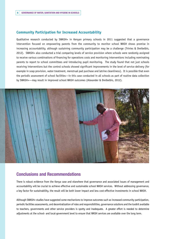## **Community Participation for Increased Accountability**

Qualitative research conducted by SWASH+ in Kenyan primary schools in 2011 suggested that a governance intervention focused on empowering parents from the community to monitor school WASH shows promise in increasing accountability, although sustaining community participation may be a challenge (Trinies & Dreibelbis, 2012). SWASH+ also conducted a trial comparing levels of service provision where schools were randomly assigned to receive various combinations of financing for operations costs and monitoring interventions including nominating parents to report to school committees and introducing pupil monitoring. The study found that not just schools receiving interventions but the control schools showed significant improvements in the level of service delivery (for example in soap provision, water treatment, menstrual pad purchase and latrine cleanliness). It is possible that even the periodic assessment of school facilities—in this case conducted in all schools as part of routine data collection by SWASH+—may result in improved school WASH outcomes (Alexander & Dreibelbis, 2012).



## **Conclusions and Recommendations**

There is robust evidence from the Kenya case and elsewhere that governance and associated issues of management and accountability will be crucial to achieve effective and sustainable school WASH services. Without addressing governance, a key factor for sustainability, the result will be both lower impact and less cost-effective investments in school WASH.

Although SWASH+ studies have suggested some mechanisms to improve outcomes such as increased community participation, periodic facilities assessments, and decentralization of roles and responsibilities, governance solutions and the toolkit available to teachers, governments and other service providers is spotty and inadequate. A greater effort is needed to determine adjustments at the school- and local-government level to ensure that WASH services are available over the long term.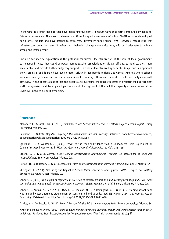There remains a great need to test governance improvements in robust ways that form compelling evidence for future improvements. The need to develop solutions for good governance of school WASH services should push non-profits, funders and governments to think very differently about school WASH services, recognizing that infrastructure provision, even if paired with behavior change communications, will be inadequate to achieve strong and lasting results.

One area for specific exploration is the potential for further decentralization of the role of local government, particularly in ways that could empower parent-teacher associations or village officials to hold teachers more accountable and provide further budgetary support. In a more decentralized system like Kenya, such an approach shows promise, and it may have even greater utility in geographic regions like Central America where schools are more directly dependent on local communities for funding. However, these shifts will inevitably come with difficulty. While decentralization has the potential to overcome challenges in terms of overstretched government staff, policymakers and development partners should be cognizant of the fact that capacity at more decentralized levels will need to be built over time.

#### **References**

Alexander, K., & Dreibelbis, R. (2012). *Summary report: Service delivery trial, A SWASH+ project research report.* Emory University: Atlanta, GA.

Baumann, E. (2009). *May-day! May-day! Our handpumps are not working!* Retrieved from http://www.rwsn.ch/ documentation/skatdocumentation.2009-02-27.5294372959

Björkman, M., & Svensson, J. (2009). Power to the People: Evidence from a Randomized Field Experiment on Community-based Monitoring in UGANDA. *Quarterly Journal of Economics, 124*(2), 735-769.

Greene, L. E. (2011). *Kenya's KESSP School Infrastructure Improvement Program: An assessment of roles and responsibilities.* Emory University: Atlanta, GA.

Herjati, H., & Tollefson, D. (2011). *Assessing water point sustainability in northern Mozambique.* CARE: Atlanta, GA.

Rheingans, R. (2011). Measuring the Impact of School Water, Sanitation and Hygiene: SWASH+ experience. *Getting School WASH Right.* CARE: Atlanta, GA.

Saboori, S. (2012). *The impact of regular soap provision to primary schools on hand washing with soap and E. coli hand contamination among pupils in Nyanza Province, Kenya: A cluster-randomized trial.* Emory University, Atlanta, GA.

Saboori, S., Mwaki, A., Porter, S. E., Okech, B., Freeman, M. C., & Rheingans, R. D. (2011). Sustaining school hand washing and water treatment programmes: Lessons learned and to be learned. *Waterlines, 30*(4), 14. Practical Action Publishing. Retrieved from http://dx.doi.org/10.3362/1756-3488.2011.040

Trinies, V., & Dreibelbis, R. (2012). *Roles & Responsibilities Pilot summary report 2012.* Emory University: Atlanta, GA.

WASH in Schools Network. (2010). *Raising Clean Hands: Advancing Learning, Health and Participation through WASH in Schools.* Retrieved from http://www.unicef.org/wash/schools/files/raisingcleanhands\_2010.pdf